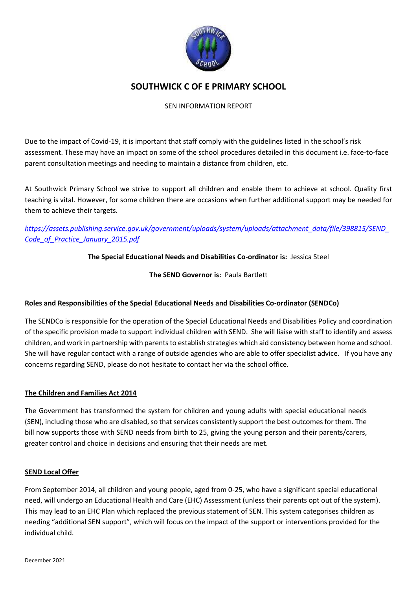

# **SOUTHWICK C OF E PRIMARY SCHOOL**

# SEN INFORMATION REPORT

Due to the impact of Covid-19, it is important that staff comply with the guidelines listed in the school's risk assessment. These may have an impact on some of the school procedures detailed in this document i.e. face-to-face parent consultation meetings and needing to maintain a distance from children, etc.

At Southwick Primary School we strive to support all children and enable them to achieve at school. Quality first teaching is vital. However, for some children there are occasions when further additional support may be needed for them to achieve their targets.

# *[https://assets.publishing.service.gov.uk/government/uploads/system/uploads/attachment\\_data/file/398815/SEND\\_](https://assets.publishing.service.gov.uk/government/uploads/system/uploads/attachment_data/file/398815/SEND_Code_of_Practice_January_2015.pdf) [Code\\_of\\_Practice\\_January\\_2015.pdf](https://assets.publishing.service.gov.uk/government/uploads/system/uploads/attachment_data/file/398815/SEND_Code_of_Practice_January_2015.pdf)*

# **The Special Educational Needs and Disabilities Co-ordinator is:** Jessica Steel

**The SEND Governor is:** Paula Bartlett

# **Roles and Responsibilities of the Special Educational Needs and Disabilities Co-ordinator (SENDCo)**

The SENDCo is responsible for the operation of the Special Educational Needs and Disabilities Policy and coordination of the specific provision made to support individual children with SEND. She will liaise with staff to identify and assess children, and work in partnership with parents to establish strategies which aid consistency between home and school. She will have regular contact with a range of outside agencies who are able to offer specialist advice. If you have any concerns regarding SEND, please do not hesitate to contact her via the school office.

# **The Children and Families Act 2014**

The Government has transformed the system for children and young adults with special educational needs (SEN), including those who are disabled, so that services consistently support the best outcomes for them. The bill now supports those with SEND needs from birth to 25, giving the young person and their parents/carers, greater control and choice in decisions and ensuring that their needs are met.

# **SEND Local Offer**

From September 2014, all children and young people, aged from 0-25, who have a significant special educational need, will undergo an Educational Health and Care (EHC) Assessment (unless their parents opt out of the system). This may lead to an EHC Plan which replaced the previous statement of SEN. This system categorises children as needing "additional SEN support", which will focus on the impact of the support or interventions provided for the individual child.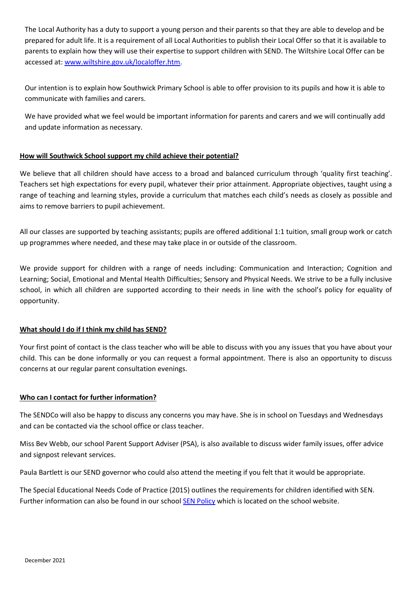The Local Authority has a duty to support a young person and their parents so that they are able to develop and be prepared for adult life. It is a requirement of all Local Authorities to publish their Local Offer so that it is available to parents to explain how they will use their expertise to support children with SEND. The Wiltshire Local Offer can be accessed at: [www.wiltshire.gov.uk/localoffer.htm.](http://www.wiltshire.gov.uk/localoffer.htm)

Our intention is to explain how Southwick Primary School is able to offer provision to its pupils and how it is able to communicate with families and carers.

We have provided what we feel would be important information for parents and carers and we will continually add and update information as necessary.

# **How will Southwick School support my child achieve their potential?**

We believe that all children should have access to a broad and balanced curriculum through 'quality first teaching'. Teachers set high expectations for every pupil, whatever their prior attainment. Appropriate objectives, taught using a range of teaching and learning styles, provide a curriculum that matches each child's needs as closely as possible and aims to remove barriers to pupil achievement.

All our classes are supported by teaching assistants; pupils are offered additional 1:1 tuition, small group work or catch up programmes where needed, and these may take place in or outside of the classroom.

We provide support for children with a range of needs including: Communication and Interaction; Cognition and Learning; Social, Emotional and Mental Health Difficulties; Sensory and Physical Needs. We strive to be a fully inclusive school, in which all children are supported according to their needs in line with the school's policy for equality of opportunity.

# **What should I do if I think my child has SEND?**

Your first point of contact is the class teacher who will be able to discuss with you any issues that you have about your child. This can be done informally or you can request a formal appointment. There is also an opportunity to discuss concerns at our regular parent consultation evenings.

#### **Who can I contact for further information?**

The SENDCo will also be happy to discuss any concerns you may have. She is in school on Tuesdays and Wednesdays and can be contacted via the school office or class teacher.

Miss Bev Webb, our school Parent Support Adviser (PSA), is also available to discuss wider family issues, offer advice and signpost relevant services.

Paula Bartlett is our SEND governor who could also attend the meeting if you felt that it would be appropriate.

The Special Educational Needs Code of Practice (2015) outlines the requirements for children identified with SEN. Further information can also be found in our school [SEN Policy](http://www.southwick.wilts.sch.uk/pdf/policies/SEN.pdf) which is located on the school website.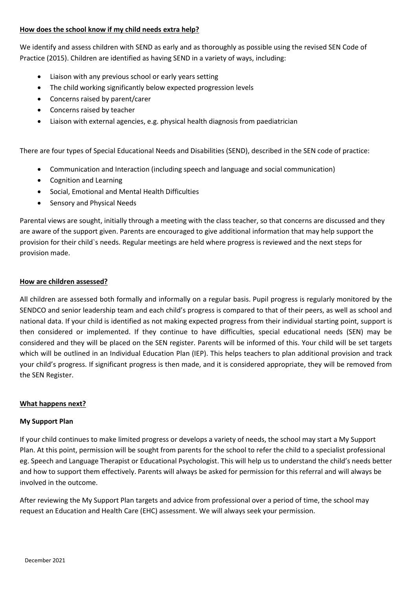#### **How does the school know if my child needs extra help?**

We identify and assess children with SEND as early and as thoroughly as possible using the revised SEN Code of Practice (2015). Children are identified as having SEND in a variety of ways, including:

- Liaison with any previous school or early years setting
- The child working significantly below expected progression levels
- Concerns raised by parent/carer
- Concerns raised by teacher
- Liaison with external agencies, e.g. physical health diagnosis from paediatrician

There are four types of Special Educational Needs and Disabilities (SEND), described in the SEN code of practice:

- Communication and Interaction (including speech and language and social communication)
- Cognition and Learning
- Social, Emotional and Mental Health Difficulties
- **•** Sensory and Physical Needs

Parental views are sought, initially through a meeting with the class teacher, so that concerns are discussed and they are aware of the support given. Parents are encouraged to give additional information that may help support the provision for their child`s needs. Regular meetings are held where progress is reviewed and the next steps for provision made.

#### **How are children assessed?**

All children are assessed both formally and informally on a regular basis. Pupil progress is regularly monitored by the SENDCO and senior leadership team and each child's progress is compared to that of their peers, as well as school and national data. If your child is identified as not making expected progress from their individual starting point, support is then considered or implemented. If they continue to have difficulties, special educational needs (SEN) may be considered and they will be placed on the SEN register. Parents will be informed of this. Your child will be set targets which will be outlined in an Individual Education Plan (IEP). This helps teachers to plan additional provision and track your child's progress. If significant progress is then made, and it is considered appropriate, they will be removed from the SEN Register.

# **What happens next?**

#### **My Support Plan**

If your child continues to make limited progress or develops a variety of needs, the school may start a My Support Plan. At this point, permission will be sought from parents for the school to refer the child to a specialist professional eg. Speech and Language Therapist or Educational Psychologist. This will help us to understand the child's needs better and how to support them effectively. Parents will always be asked for permission for this referral and will always be involved in the outcome.

After reviewing the My Support Plan targets and advice from professional over a period of time, the school may request an Education and Health Care (EHC) assessment. We will always seek your permission.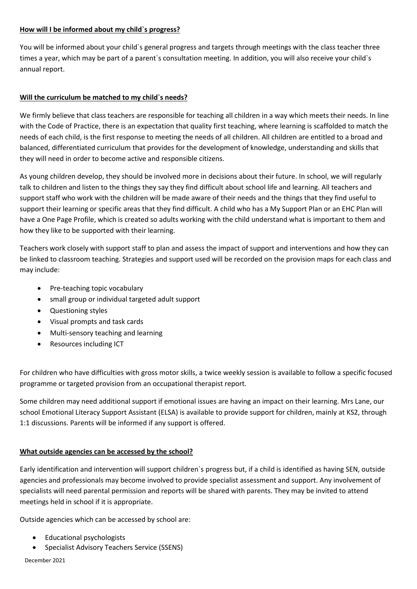#### **How will I be informed about my child`s progress?**

You will be informed about your child`s general progress and targets through meetings with the class teacher three times a year, which may be part of a parent`s consultation meeting. In addition, you will also receive your child`s annual report.

# **Will the curriculum be matched to my child`s needs?**

We firmly believe that class teachers are responsible for teaching all children in a way which meets their needs. In line with the Code of Practice, there is an expectation that quality first teaching, where learning is scaffolded to match the needs of each child, is the first response to meeting the needs of all children. All children are entitled to a broad and balanced, differentiated curriculum that provides for the development of knowledge, understanding and skills that they will need in order to become active and responsible citizens.

As young children develop, they should be involved more in decisions about their future. In school, we will regularly talk to children and listen to the things they say they find difficult about school life and learning. All teachers and support staff who work with the children will be made aware of their needs and the things that they find useful to support their learning or specific areas that they find difficult. A child who has a My Support Plan or an EHC Plan will have a One Page Profile, which is created so adults working with the child understand what is important to them and how they like to be supported with their learning.

Teachers work closely with support staff to plan and assess the impact of support and interventions and how they can be linked to classroom teaching. Strategies and support used will be recorded on the provision maps for each class and may include:

- Pre-teaching topic vocabulary
- small group or individual targeted adult support
- Questioning styles
- Visual prompts and task cards
- Multi-sensory teaching and learning
- Resources including ICT

For children who have difficulties with gross motor skills, a twice weekly session is available to follow a specific focused programme or targeted provision from an occupational therapist report.

Some children may need additional support if emotional issues are having an impact on their learning. Mrs Lane, our school Emotional Literacy Support Assistant (ELSA) is available to provide support for children, mainly at KS2, through 1:1 discussions. Parents will be informed if any support is offered.

# **What outside agencies can be accessed by the school?**

Early identification and intervention will support children`s progress but, if a child is identified as having SEN, outside agencies and professionals may become involved to provide specialist assessment and support. Any involvement of specialists will need parental permission and reports will be shared with parents. They may be invited to attend meetings held in school if it is appropriate.

Outside agencies which can be accessed by school are:

- Educational psychologists
- Specialist Advisory Teachers Service (SSENS)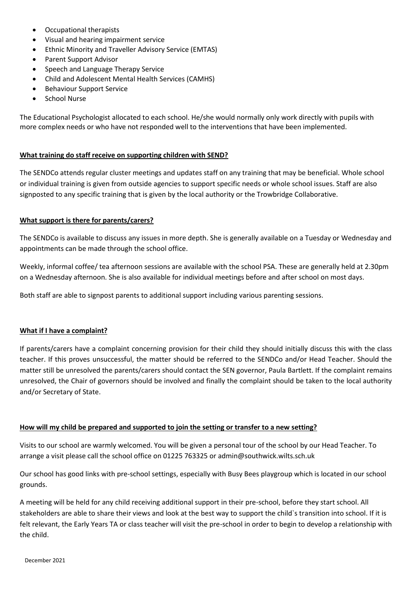- Occupational therapists
- Visual and hearing impairment service
- Ethnic Minority and Traveller Advisory Service (EMTAS)
- Parent Support Advisor
- Speech and Language Therapy Service
- Child and Adolescent Mental Health Services (CAMHS)
- Behaviour Support Service
- School Nurse

The Educational Psychologist allocated to each school. He/she would normally only work directly with pupils with more complex needs or who have not responded well to the interventions that have been implemented.

#### **What training do staff receive on supporting children with SEND?**

The SENDCo attends regular cluster meetings and updates staff on any training that may be beneficial. Whole school or individual training is given from outside agencies to support specific needs or whole school issues. Staff are also signposted to any specific training that is given by the local authority or the Trowbridge Collaborative.

#### **What support is there for parents/carers?**

The SENDCo is available to discuss any issues in more depth. She is generally available on a Tuesday or Wednesday and appointments can be made through the school office.

Weekly, informal coffee/ tea afternoon sessions are available with the school PSA. These are generally held at 2.30pm on a Wednesday afternoon. She is also available for individual meetings before and after school on most days.

Both staff are able to signpost parents to additional support including various parenting sessions.

#### **What if I have a complaint?**

If parents/carers have a complaint concerning provision for their child they should initially discuss this with the class teacher. If this proves unsuccessful, the matter should be referred to the SENDCo and/or Head Teacher. Should the matter still be unresolved the parents/carers should contact the SEN governor, Paula Bartlett. If the complaint remains unresolved, the Chair of governors should be involved and finally the complaint should be taken to the local authority and/or Secretary of State.

#### **How will my child be prepared and supported to join the setting or transfer to a new setting?**

Visits to our school are warmly welcomed. You will be given a personal tour of the school by our Head Teacher. To arrange a visit please call the school office on 01225 763325 or admin@southwick.wilts.sch.uk

Our school has good links with pre-school settings, especially with Busy Bees playgroup which is located in our school grounds.

A meeting will be held for any child receiving additional support in their pre-school, before they start school. All stakeholders are able to share their views and look at the best way to support the child`s transition into school. If it is felt relevant, the Early Years TA or class teacher will visit the pre-school in order to begin to develop a relationship with the child.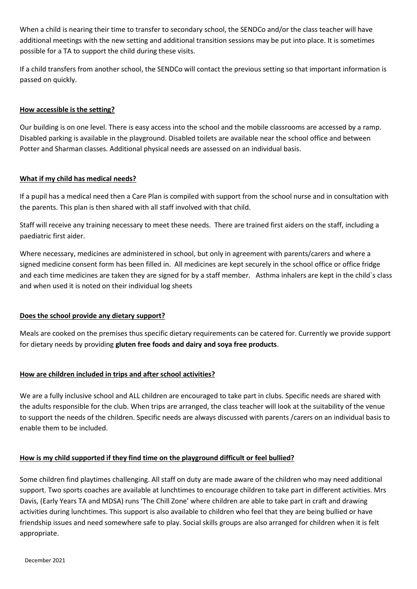When a child is nearing their time to transfer to secondary school, the SENDCo and/or the class teacher will have additional meetings with the new setting and additional transition sessions may be put into place. It is sometimes possible for a TA to support the child during these visits.

If a child transfers from another school, the SENDCo will contact the previous setting so that important information is passed on quickly.

# **How accessible is the setting?**

Our building is on one level. There is easy access into the school and the mobile classrooms are accessed by a ramp. Disabled parking is available in the playground. Disabled toilets are available near the school office and between Potter and Sharman classes. Additional physical needs are assessed on an individual basis.

#### **What if my child has medical needs?**

If a pupil has a medical need then a Care Plan is compiled with support from the school nurse and in consultation with the parents. This plan is then shared with all staff involved with that child.

Staff will receive any training necessary to meet these needs. There are trained first aiders on the staff, including a paediatric first aider.

Where necessary, medicines are administered in school, but only in agreement with parents/carers and where a signed medicine consent form has been filled in. All medicines are kept securely in the school office or office fridge and each time medicines are taken they are signed for by a staff member. Asthma inhalers are kept in the child`s class and when used it is noted on their individual log sheets

# **Does the school provide any dietary support?**

Meals are cooked on the premises thus specific dietary requirements can be catered for. Currently we provide support for dietary needs by providing **gluten free foods and dairy and soya free products**.

# **How are children included in trips and after school activities?**

We are a fully inclusive school and ALL children are encouraged to take part in clubs. Specific needs are shared with the adults responsible for the club. When trips are arranged, the class teacher will look at the suitability of the venue to support the needs of the children. Specific needs are always discussed with parents /carers on an individual basis to enable them to be included.

# **How is my child supported if they find time on the playground difficult or feel bullied?**

Some children find playtimes challenging. All staff on duty are made aware of the children who may need additional support. Two sports coaches are available at lunchtimes to encourage children to take part in different activities. Mrs Davis, (Early Years TA and MDSA) runs 'The Chill Zone' where children are able to take part in craft and drawing activities during lunchtimes. This support is also available to children who feel that they are being bullied or have friendship issues and need somewhere safe to play. Social skills groups are also arranged for children when it is felt appropriate.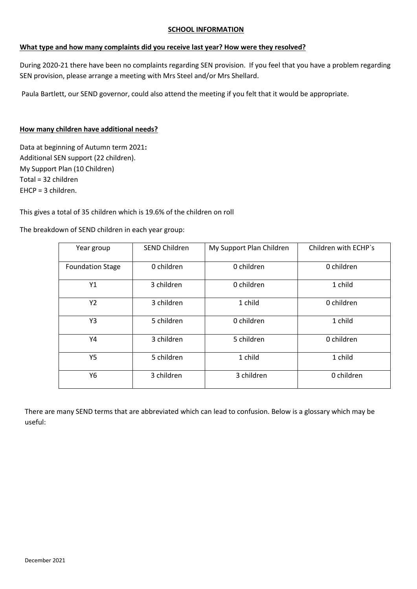#### **SCHOOL INFORMATION**

#### **What type and how many complaints did you receive last year? How were they resolved?**

During 2020-21 there have been no complaints regarding SEN provision. If you feel that you have a problem regarding SEN provision, please arrange a meeting with Mrs Steel and/or Mrs Shellard.

Paula Bartlett, our SEND governor, could also attend the meeting if you felt that it would be appropriate.

#### **How many children have additional needs?**

Data at beginning of Autumn term 2021**:**  Additional SEN support (22 children). My Support Plan (10 Children) Total = 32 children EHCP = 3 children.

This gives a total of 35 children which is 19.6% of the children on roll

The breakdown of SEND children in each year group:

| Year group              | <b>SEND Children</b> | My Support Plan Children | Children with ECHP's |
|-------------------------|----------------------|--------------------------|----------------------|
| <b>Foundation Stage</b> | 0 children           | 0 children               | 0 children           |
| Y1                      | 3 children           | 0 children               | 1 child              |
| Y2                      | 3 children           | 1 child                  | 0 children           |
| Y3                      | 5 children           | 0 children               | 1 child              |
| Υ4                      | 3 children           | 5 children               | 0 children           |
| Y5                      | 5 children           | 1 child                  | 1 child              |
| Υ6                      | 3 children           | 3 children               | 0 children           |

There are many SEND terms that are abbreviated which can lead to confusion. Below is a glossary which may be useful: